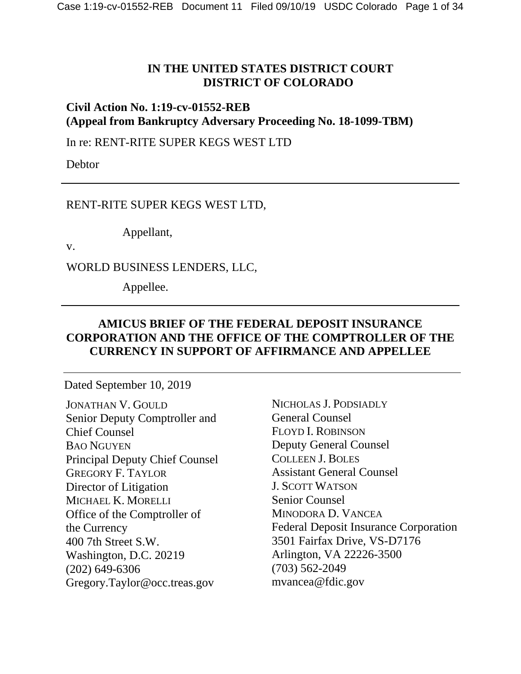#### **IN THE UNITED STATES DISTRICT COURT DISTRICT OF COLORADO**

**Civil Action No. 1:19-cv-01552-REB (Appeal from Bankruptcy Adversary Proceeding No. 18-1099-TBM)**

In re: RENT-RITE SUPER KEGS WEST LTD

Debtor

RENT-RITE SUPER KEGS WEST LTD,

Appellant,

v.

WORLD BUSINESS LENDERS, LLC,

Appellee.

#### **AMICUS BRIEF OF THE FEDERAL DEPOSIT INSURANCE CORPORATION AND THE OFFICE OF THE COMPTROLLER OF THE CURRENCY IN SUPPORT OF AFFIRMANCE AND APPELLEE**

#### Dated September 10, 2019

JONATHAN V. GOULD Senior Deputy Comptroller and Chief Counsel BAO NGUYEN Principal Deputy Chief Counsel GREGORY F. TAYLOR Director of Litigation MICHAEL K. MORELLI Office of the Comptroller of the Currency 400 7th Street S.W. Washington, D.C. 20219 (202) 649-6306 Gregory.Taylor@occ.treas.gov

NICHOLAS J. PODSIADLY General Counsel FLOYD I. ROBINSON Deputy General Counsel COLLEEN J. BOLES Assistant General Counsel J. SCOTT WATSON Senior Counsel MINODORA D. VANCEA Federal Deposit Insurance Corporation 3501 Fairfax Drive, VS-D7176 Arlington, VA 22226-3500 (703) 562-2049 mvancea@fdic.gov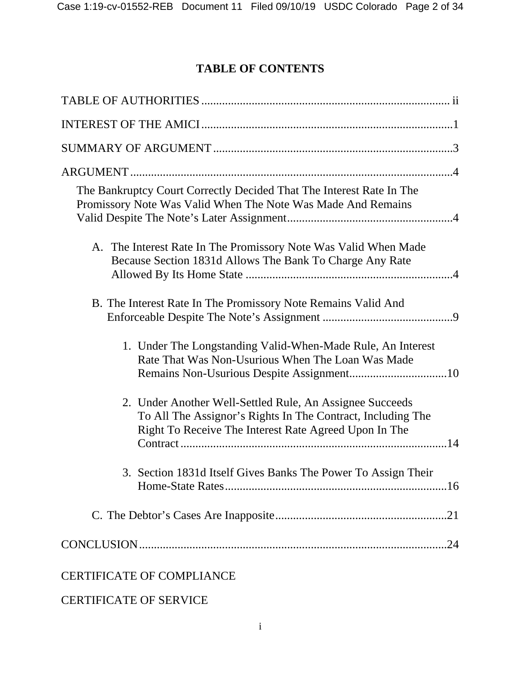# **TABLE OF CONTENTS**

| The Bankruptcy Court Correctly Decided That The Interest Rate In The<br>Promissory Note Was Valid When The Note Was Made And Remains                                             |
|----------------------------------------------------------------------------------------------------------------------------------------------------------------------------------|
| A. The Interest Rate In The Promissory Note Was Valid When Made<br>Because Section 1831d Allows The Bank To Charge Any Rate                                                      |
| B. The Interest Rate In The Promissory Note Remains Valid And                                                                                                                    |
| 1. Under The Longstanding Valid-When-Made Rule, An Interest<br>Rate That Was Non-Usurious When The Loan Was Made                                                                 |
| 2. Under Another Well-Settled Rule, An Assignee Succeeds<br>To All The Assignor's Rights In The Contract, Including The<br>Right To Receive The Interest Rate Agreed Upon In The |
| 3. Section 1831d Itself Gives Banks The Power To Assign Their                                                                                                                    |
|                                                                                                                                                                                  |
|                                                                                                                                                                                  |
| <b>CERTIFICATE OF COMPLIANCE</b>                                                                                                                                                 |

# CERTIFICATE OF SERVICE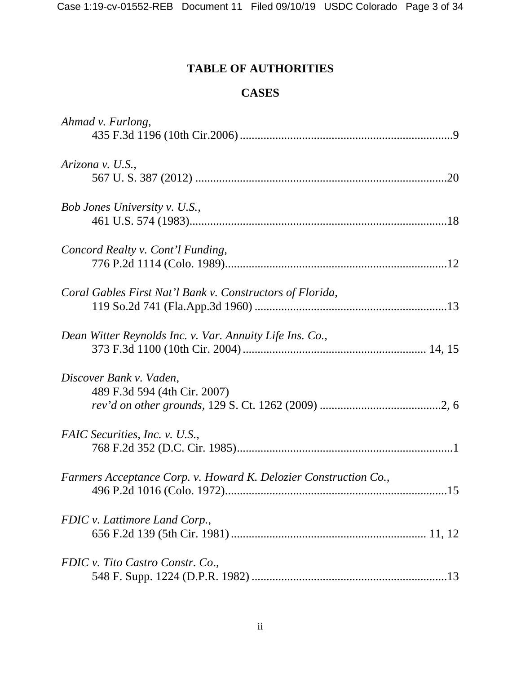# **TABLE OF AUTHORITIES**

## **CASES**

| Ahmad v. Furlong,                                                      |
|------------------------------------------------------------------------|
| Arizona v. U.S.,                                                       |
| Bob Jones University v. U.S.,                                          |
| Concord Realty v. Cont'l Funding,                                      |
| Coral Gables First Nat'l Bank v. Constructors of Florida,              |
| Dean Witter Reynolds Inc. v. Var. Annuity Life Ins. Co.,               |
| Discover Bank v. Vaden,<br>489 F.3d 594 (4th Cir. 2007)                |
| FAIC Securities, Inc. v. U.S.,                                         |
| Farmers Acceptance Corp. v. Howard K. Delozier Construction Co.,<br>15 |
| FDIC v. Lattimore Land Corp.,                                          |
| FDIC v. Tito Castro Constr. Co.,                                       |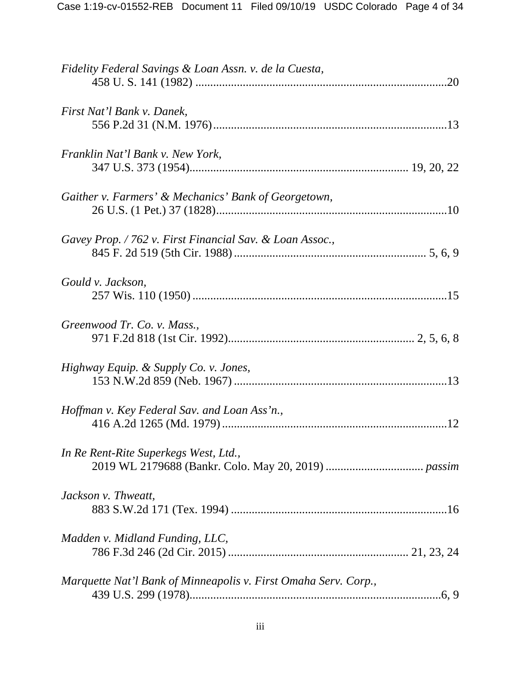| Fidelity Federal Savings & Loan Assn. v. de la Cuesta,          |
|-----------------------------------------------------------------|
| First Nat'l Bank v. Danek,                                      |
| Franklin Nat'l Bank v. New York,                                |
| Gaither v. Farmers' & Mechanics' Bank of Georgetown,            |
| Gavey Prop. / 762 v. First Financial Sav. & Loan Assoc.,        |
| Gould v. Jackson,                                               |
| Greenwood Tr. Co. v. Mass.,                                     |
| Highway Equip. & Supply Co. v. Jones,                           |
| Hoffman v. Key Federal Sav. and Loan Ass'n.,                    |
| In Re Rent-Rite Superkegs West, Ltd.,                           |
| Jackson v. Thweatt,                                             |
| Madden v. Midland Funding, LLC,                                 |
| Marquette Nat'l Bank of Minneapolis v. First Omaha Serv. Corp., |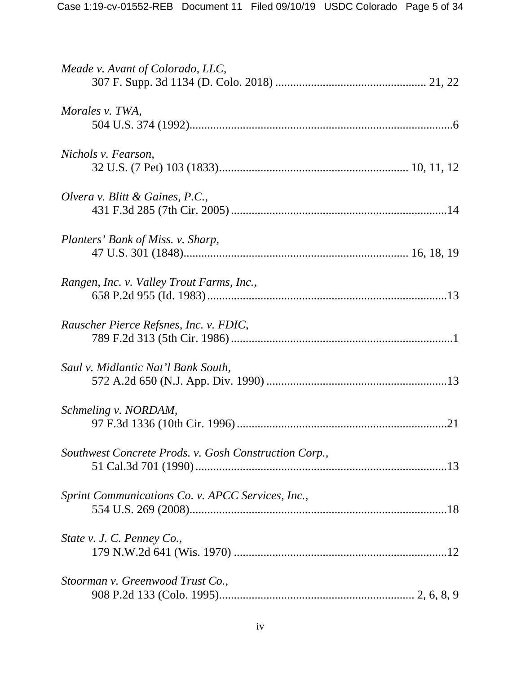| Meade v. Avant of Colorado, LLC,                      |
|-------------------------------------------------------|
| Morales v. TWA,                                       |
| Nichols v. Fearson,                                   |
| Olvera v. Blitt & Gaines, P.C.,                       |
| Planters' Bank of Miss. v. Sharp,                     |
| Rangen, Inc. v. Valley Trout Farms, Inc.,             |
| Rauscher Pierce Refsnes, Inc. v. FDIC,                |
| Saul v. Midlantic Nat'l Bank South,                   |
| Schmeling v. NORDAM,                                  |
| Southwest Concrete Prods. v. Gosh Construction Corp., |
| Sprint Communications Co. v. APCC Services, Inc.,     |
| State v. J. C. Penney Co.,                            |
| Stoorman v. Greenwood Trust Co.,                      |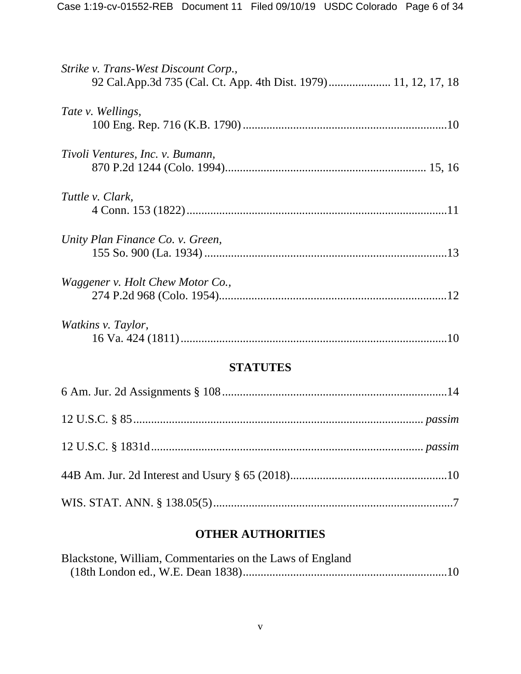| Strike v. Trans-West Discount Corp.,<br>92 Cal.App.3d 735 (Cal. Ct. App. 4th Dist. 1979) 11, 12, 17, 18 |  |  |
|---------------------------------------------------------------------------------------------------------|--|--|
| Tate v. Wellings,                                                                                       |  |  |
| Tivoli Ventures, Inc. v. Bumann,                                                                        |  |  |
| Tuttle v. Clark,                                                                                        |  |  |
| Unity Plan Finance Co. v. Green,                                                                        |  |  |
| Waggener v. Holt Chew Motor Co.,                                                                        |  |  |
| Watkins v. Taylor,                                                                                      |  |  |
| <b>STATUTES</b>                                                                                         |  |  |
|                                                                                                         |  |  |
|                                                                                                         |  |  |

### **OTHER AUTHORITIES**

| Blackstone, William, Commentaries on the Laws of England |  |
|----------------------------------------------------------|--|
|                                                          |  |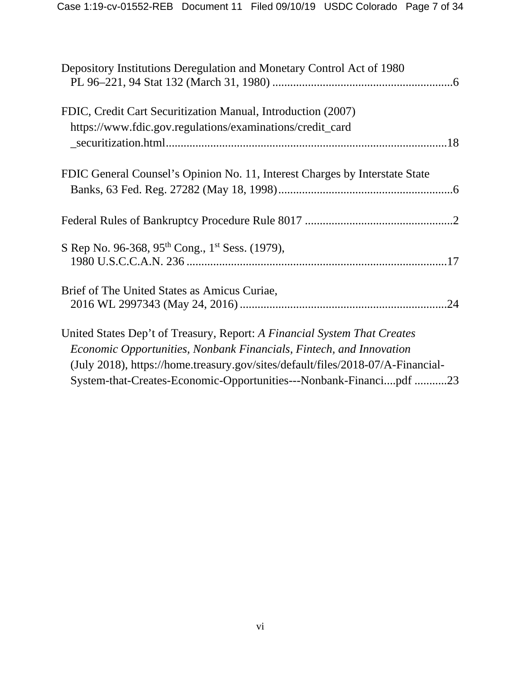| Depository Institutions Deregulation and Monetary Control Act of 1980           |  |
|---------------------------------------------------------------------------------|--|
| FDIC, Credit Cart Securitization Manual, Introduction (2007)                    |  |
| https://www.fdic.gov.regulations/examinations/credit_card                       |  |
|                                                                                 |  |
| FDIC General Counsel's Opinion No. 11, Interest Charges by Interstate State     |  |
|                                                                                 |  |
|                                                                                 |  |
| S Rep No. 96-368, 95 <sup>th</sup> Cong., 1 <sup>st</sup> Sess. (1979),         |  |
|                                                                                 |  |
| Brief of The United States as Amicus Curiae,                                    |  |
|                                                                                 |  |
| United States Dep't of Treasury, Report: A Financial System That Creates        |  |
| Economic Opportunities, Nonbank Financials, Fintech, and Innovation             |  |
| (July 2018), https://home.treasury.gov/sites/default/files/2018-07/A-Financial- |  |
| System-that-Creates-Economic-Opportunities---Nonbank-Financipdf 23              |  |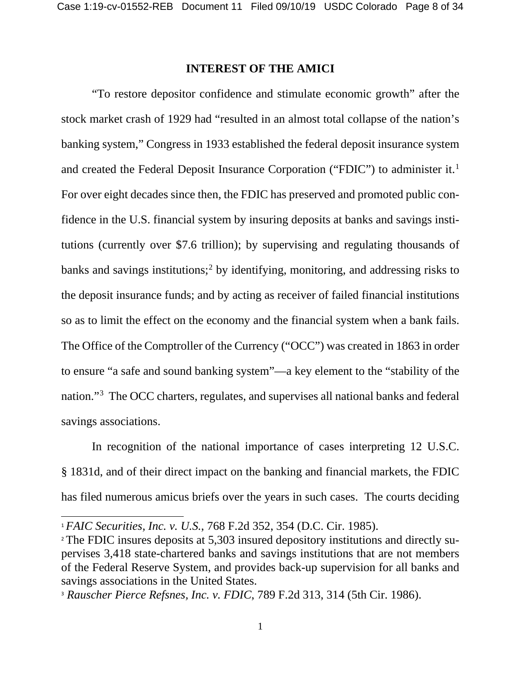#### **INTEREST OF THE AMICI**

"To restore depositor confidence and stimulate economic growth" after the stock market crash of 1929 had "resulted in an almost total collapse of the nation's banking system," Congress in 1933 established the federal deposit insurance system and created the Federal Deposit Insurance Corporation ("FDIC") to administer it.<sup>[1](#page-7-0)</sup> For over eight decades since then, the FDIC has preserved and promoted public confidence in the U.S. financial system by insuring deposits at banks and savings institutions (currently over \$7.6 trillion); by supervising and regulating thousands of banks and savings institutions;<sup>2</sup> by identifying, monitoring, and addressing risks to the deposit insurance funds; and by acting as receiver of failed financial institutions so as to limit the effect on the economy and the financial system when a bank fails. The Office of the Comptroller of the Currency ("OCC") was created in 1863 in order to ensure "a safe and sound banking system"—a key element to the "stability of the nation."[3](#page-7-2) The OCC charters, regulates, and supervises all national banks and federal savings associations.

In recognition of the national importance of cases interpreting 12 U.S.C. § 1831d, and of their direct impact on the banking and financial markets, the FDIC has filed numerous amicus briefs over the years in such cases. The courts deciding

l

<span id="page-7-0"></span><sup>1</sup> *FAIC Securities, Inc. v. U.S.*, 768 F.2d 352, 354 (D.C. Cir. 1985).

<span id="page-7-1"></span><sup>2</sup> The FDIC insures deposits at 5,303 insured depository institutions and directly supervises 3,418 state-chartered banks and savings institutions that are not members of the Federal Reserve System, and provides back-up supervision for all banks and savings associations in the United States.

<span id="page-7-2"></span><sup>3</sup> *Rauscher Pierce Refsnes, Inc. v. FDIC*, 789 F.2d 313, 314 (5th Cir. 1986).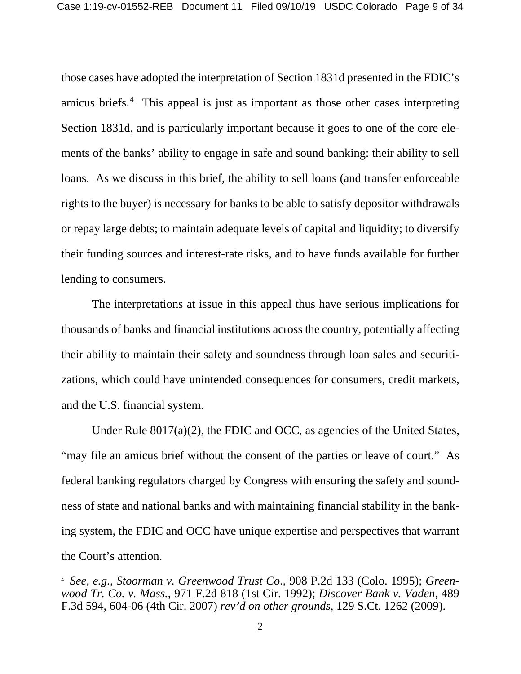those cases have adopted the interpretation of Section 1831d presented in the FDIC's amicus briefs.[4](#page-8-0) This appeal is just as important as those other cases interpreting Section 1831d, and is particularly important because it goes to one of the core elements of the banks' ability to engage in safe and sound banking: their ability to sell loans. As we discuss in this brief, the ability to sell loans (and transfer enforceable rights to the buyer) is necessary for banks to be able to satisfy depositor withdrawals or repay large debts; to maintain adequate levels of capital and liquidity; to diversify their funding sources and interest-rate risks, and to have funds available for further lending to consumers.

The interpretations at issue in this appeal thus have serious implications for thousands of banks and financial institutions across the country, potentially affecting their ability to maintain their safety and soundness through loan sales and securitizations, which could have unintended consequences for consumers, credit markets, and the U.S. financial system.

Under Rule 8017(a)(2), the FDIC and OCC, as agencies of the United States, "may file an amicus brief without the consent of the parties or leave of court." As federal banking regulators charged by Congress with ensuring the safety and soundness of state and national banks and with maintaining financial stability in the banking system, the FDIC and OCC have unique expertise and perspectives that warrant the Court's attention.

<span id="page-8-0"></span><sup>4</sup> *See, e.g.*, *Stoorman v. Greenwood Trust Co*., 908 P.2d 133 (Colo. 1995); *Greenwood Tr. Co. v. Mass.*, 971 F.2d 818 (1st Cir. 1992); *Discover Bank v. Vaden*, 489 F.3d 594, 604-06 (4th Cir. 2007) *rev'd on other grounds,* 129 S.Ct. 1262 (2009).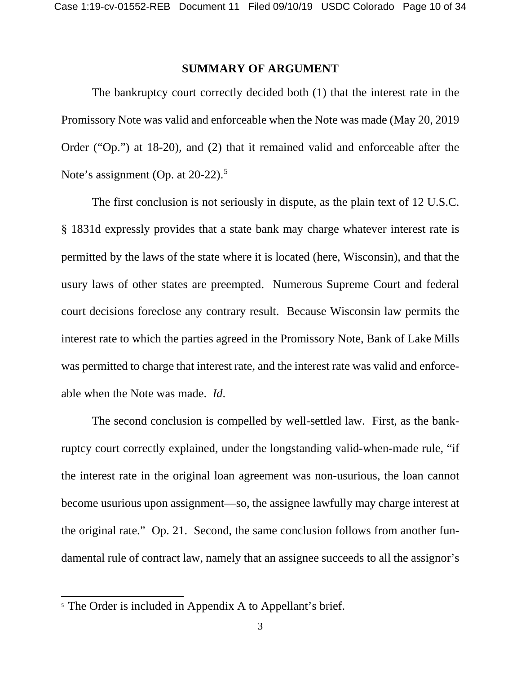#### **SUMMARY OF ARGUMENT**

The bankruptcy court correctly decided both (1) that the interest rate in the Promissory Note was valid and enforceable when the Note was made (May 20, 2019 Order ("Op.") at 18-20), and (2) that it remained valid and enforceable after the Note's assignment (Op. at 20-22).<sup>[5](#page-9-0)</sup>

The first conclusion is not seriously in dispute, as the plain text of 12 U.S.C. § 1831d expressly provides that a state bank may charge whatever interest rate is permitted by the laws of the state where it is located (here, Wisconsin), and that the usury laws of other states are preempted. Numerous Supreme Court and federal court decisions foreclose any contrary result. Because Wisconsin law permits the interest rate to which the parties agreed in the Promissory Note, Bank of Lake Mills was permitted to charge that interest rate, and the interest rate was valid and enforceable when the Note was made. *Id*.

The second conclusion is compelled by well-settled law. First, as the bankruptcy court correctly explained, under the longstanding valid-when-made rule, "if the interest rate in the original loan agreement was non-usurious, the loan cannot become usurious upon assignment—so, the assignee lawfully may charge interest at the original rate." Op. 21. Second, the same conclusion follows from another fundamental rule of contract law, namely that an assignee succeeds to all the assignor's

<span id="page-9-0"></span><sup>&</sup>lt;sup>5</sup> The Order is included in Appendix A to Appellant's brief.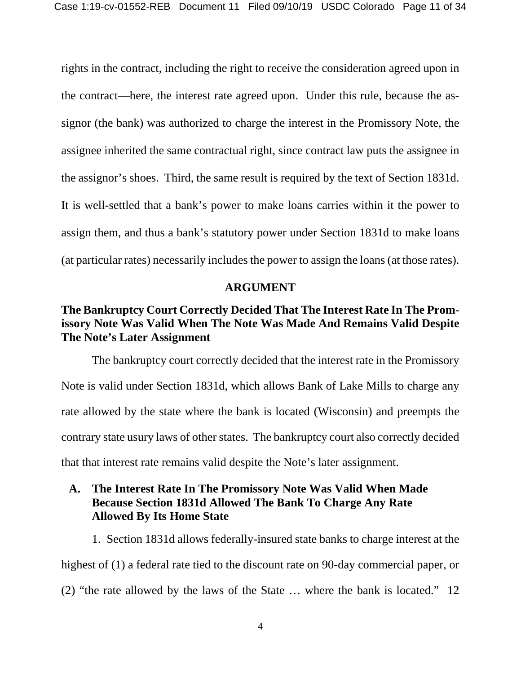rights in the contract, including the right to receive the consideration agreed upon in the contract—here, the interest rate agreed upon. Under this rule, because the assignor (the bank) was authorized to charge the interest in the Promissory Note, the assignee inherited the same contractual right, since contract law puts the assignee in the assignor's shoes. Third, the same result is required by the text of Section 1831d. It is well-settled that a bank's power to make loans carries within it the power to assign them, and thus a bank's statutory power under Section 1831d to make loans (at particular rates) necessarily includes the power to assign the loans (at those rates).

#### **ARGUMENT**

### **The Bankruptcy Court Correctly Decided That The Interest Rate In The Promissory Note Was Valid When The Note Was Made And Remains Valid Despite The Note's Later Assignment**

The bankruptcy court correctly decided that the interest rate in the Promissory Note is valid under Section 1831d, which allows Bank of Lake Mills to charge any rate allowed by the state where the bank is located (Wisconsin) and preempts the contrary state usury laws of other states. The bankruptcy court also correctly decided that that interest rate remains valid despite the Note's later assignment.

#### **A. The Interest Rate In The Promissory Note Was Valid When Made Because Section 1831d Allowed The Bank To Charge Any Rate Allowed By Its Home State**

1. Section 1831d allows federally-insured state banks to charge interest at the highest of (1) a federal rate tied to the discount rate on 90-day commercial paper, or (2) "the rate allowed by the laws of the State … where the bank is located." 12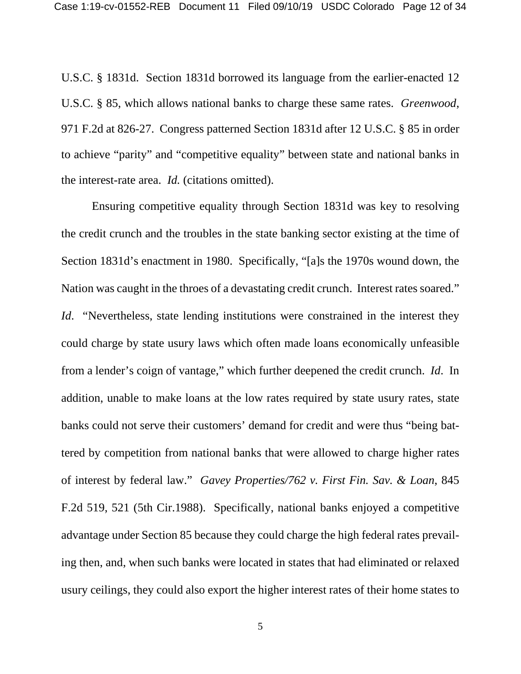U.S.C. § 1831d. Section 1831d borrowed its language from the earlier-enacted 12 U.S.C. § 85, which allows national banks to charge these same rates. *Greenwood*, 971 F.2d at 826-27. Congress patterned Section 1831d after 12 U.S.C. § 85 in order to achieve "parity" and "competitive equality" between state and national banks in the interest-rate area. *Id.* (citations omitted).

Ensuring competitive equality through Section 1831d was key to resolving the credit crunch and the troubles in the state banking sector existing at the time of Section 1831d's enactment in 1980. Specifically, "[a]s the 1970s wound down, the Nation was caught in the throes of a devastating credit crunch. Interest rates soared." *Id.* "Nevertheless, state lending institutions were constrained in the interest they could charge by state usury laws which often made loans economically unfeasible from a lender's coign of vantage," which further deepened the credit crunch. *Id*. In addition, unable to make loans at the low rates required by state usury rates, state banks could not serve their customers' demand for credit and were thus "being battered by competition from national banks that were allowed to charge higher rates of interest by federal law." *Gavey Properties/762 v. First Fin. Sav. & Loan*, 845 F.2d 519, 521 (5th Cir.1988). Specifically, national banks enjoyed a competitive advantage under Section 85 because they could charge the high federal rates prevailing then, and, when such banks were located in states that had eliminated or relaxed usury ceilings, they could also export the higher interest rates of their home states to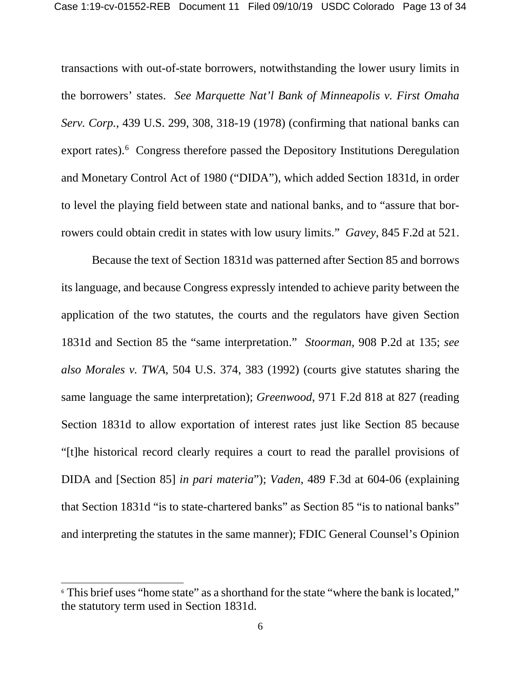transactions with out-of-state borrowers, notwithstanding the lower usury limits in the borrowers' states. *See Marquette Nat'l Bank of Minneapolis v. First Omaha Serv. Corp.*, 439 U.S. 299, 308, 318-19 (1978) (confirming that national banks can export rates).<sup>[6](#page-12-0)</sup> Congress therefore passed the Depository Institutions Deregulation and Monetary Control Act of 1980 ("DIDA"), which added Section 1831d, in order to level the playing field between state and national banks, and to "assure that borrowers could obtain credit in states with low usury limits." *Gavey*, 845 F.2d at 521.

Because the text of Section 1831d was patterned after Section 85 and borrows its language, and because Congress expressly intended to achieve parity between the application of the two statutes, the courts and the regulators have given Section 1831d and Section 85 the "same interpretation." *Stoorman*, 908 P.2d at 135; *see also Morales v. TWA*, 504 U.S. 374, 383 (1992) (courts give statutes sharing the same language the same interpretation); *Greenwood*, 971 F.2d 818 at 827 (reading Section 1831d to allow exportation of interest rates just like Section 85 because "[t]he historical record clearly requires a court to read the parallel provisions of DIDA and [Section 85] *in pari materia*"); *Vaden*, 489 F.3d at 604-06 (explaining that Section 1831d "is to state-chartered banks" as Section 85 "is to national banks" and interpreting the statutes in the same manner); FDIC General Counsel's Opinion

<span id="page-12-0"></span><sup>&</sup>lt;sup>6</sup> This brief uses "home state" as a shorthand for the state "where the bank is located," the statutory term used in Section 1831d.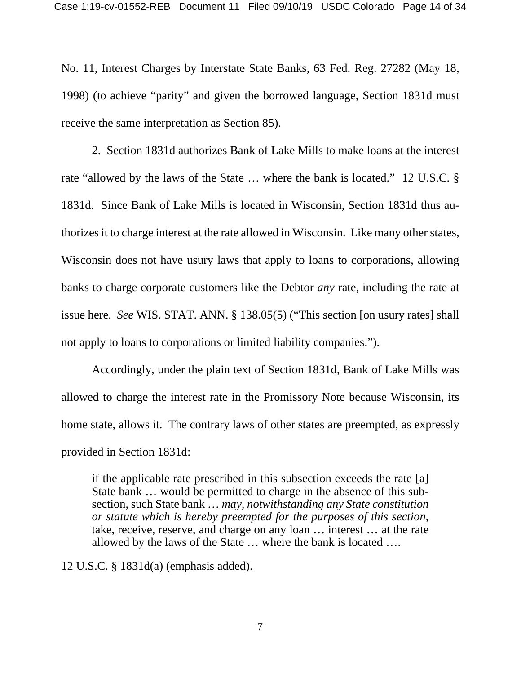No. 11, Interest Charges by Interstate State Banks, 63 Fed. Reg. 27282 (May 18, 1998) (to achieve "parity" and given the borrowed language, Section 1831d must receive the same interpretation as Section 85).

2. Section 1831d authorizes Bank of Lake Mills to make loans at the interest rate "allowed by the laws of the State … where the bank is located." 12 U.S.C. § 1831d. Since Bank of Lake Mills is located in Wisconsin, Section 1831d thus authorizes it to charge interest at the rate allowed in Wisconsin. Like many other states, Wisconsin does not have usury laws that apply to loans to corporations, allowing banks to charge corporate customers like the Debtor *any* rate, including the rate at issue here. *See* WIS. STAT. ANN. § 138.05(5) ("This section [on usury rates] shall not apply to loans to corporations or limited liability companies.").

Accordingly, under the plain text of Section 1831d, Bank of Lake Mills was allowed to charge the interest rate in the Promissory Note because Wisconsin, its home state, allows it. The contrary laws of other states are preempted, as expressly provided in Section 1831d:

if the applicable rate prescribed in this subsection exceeds the rate [a] State bank … would be permitted to charge in the absence of this subsection, such State bank … *may, notwithstanding any State constitution or statute which is hereby preempted for the purposes of this section*, take, receive, reserve, and charge on any loan … interest … at the rate allowed by the laws of the State … where the bank is located ….

12 U.S.C. § 1831d(a) (emphasis added).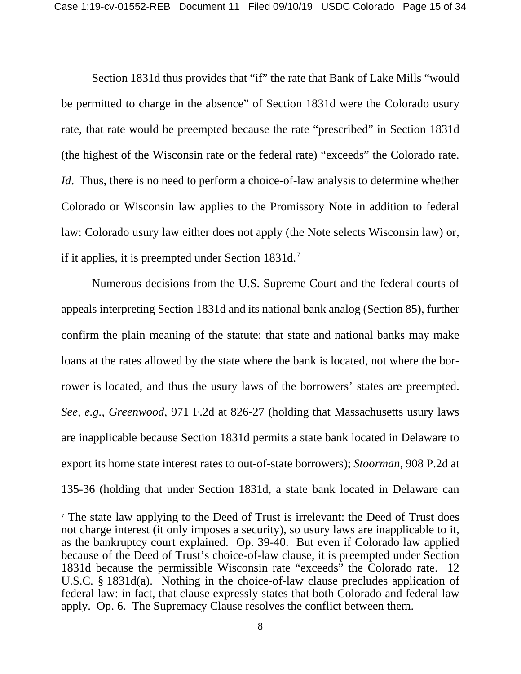Section 1831d thus provides that "if" the rate that Bank of Lake Mills "would be permitted to charge in the absence" of Section 1831d were the Colorado usury rate, that rate would be preempted because the rate "prescribed" in Section 1831d (the highest of the Wisconsin rate or the federal rate) "exceeds" the Colorado rate. *Id*. Thus, there is no need to perform a choice-of-law analysis to determine whether Colorado or Wisconsin law applies to the Promissory Note in addition to federal law: Colorado usury law either does not apply (the Note selects Wisconsin law) or, if it applies, it is preempted under Section  $1831d.<sup>7</sup>$  $1831d.<sup>7</sup>$  $1831d.<sup>7</sup>$ 

Numerous decisions from the U.S. Supreme Court and the federal courts of appeals interpreting Section 1831d and its national bank analog (Section 85), further confirm the plain meaning of the statute: that state and national banks may make loans at the rates allowed by the state where the bank is located, not where the borrower is located, and thus the usury laws of the borrowers' states are preempted. *See, e.g.*, *Greenwood*, 971 F.2d at 826-27 (holding that Massachusetts usury laws are inapplicable because Section 1831d permits a state bank located in Delaware to export its home state interest rates to out-of-state borrowers); *Stoorman*, 908 P.2d at 135-36 (holding that under Section 1831d, a state bank located in Delaware can

<span id="page-14-0"></span><sup>7</sup> The state law applying to the Deed of Trust is irrelevant: the Deed of Trust does not charge interest (it only imposes a security), so usury laws are inapplicable to it, as the bankruptcy court explained. Op. 39-40. But even if Colorado law applied because of the Deed of Trust's choice-of-law clause, it is preempted under Section 1831d because the permissible Wisconsin rate "exceeds" the Colorado rate. 12 U.S.C. § 1831d(a). Nothing in the choice-of-law clause precludes application of federal law: in fact, that clause expressly states that both Colorado and federal law apply. Op. 6. The Supremacy Clause resolves the conflict between them.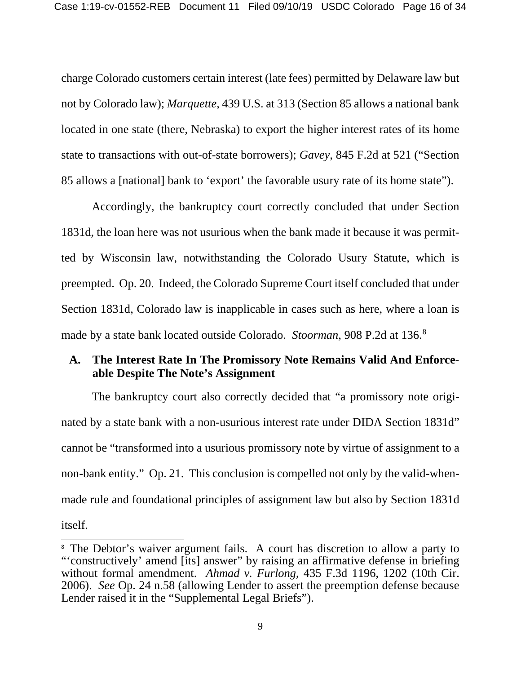charge Colorado customers certain interest (late fees) permitted by Delaware law but not by Colorado law); *Marquette*, 439 U.S. at 313 (Section 85 allows a national bank located in one state (there, Nebraska) to export the higher interest rates of its home state to transactions with out-of-state borrowers); *Gavey*, 845 F.2d at 521 ("Section 85 allows a [national] bank to 'export' the favorable usury rate of its home state").

Accordingly, the bankruptcy court correctly concluded that under Section 1831d, the loan here was not usurious when the bank made it because it was permitted by Wisconsin law, notwithstanding the Colorado Usury Statute, which is preempted. Op. 20. Indeed, the Colorado Supreme Court itself concluded that under Section 1831d, Colorado law is inapplicable in cases such as here, where a loan is made by a state bank located outside Colorado. *Stoorman*, 908 P.2d at 136.[8](#page-15-0)

#### **A. The Interest Rate In The Promissory Note Remains Valid And Enforceable Despite The Note's Assignment**

The bankruptcy court also correctly decided that "a promissory note originated by a state bank with a non-usurious interest rate under DIDA Section 1831d" cannot be "transformed into a usurious promissory note by virtue of assignment to a non-bank entity." Op. 21. This conclusion is compelled not only by the valid-whenmade rule and foundational principles of assignment law but also by Section 1831d itself.

<span id="page-15-0"></span><sup>&</sup>lt;sup>8</sup> The Debtor's waiver argument fails. A court has discretion to allow a party to "'constructively' amend [its] answer" by raising an affirmative defense in briefing without formal amendment. *Ahmad v. Furlong*, 435 F.3d 1196, 1202 (10th Cir. 2006). *See* Op. 24 n.58 (allowing Lender to assert the preemption defense because Lender raised it in the "Supplemental Legal Briefs").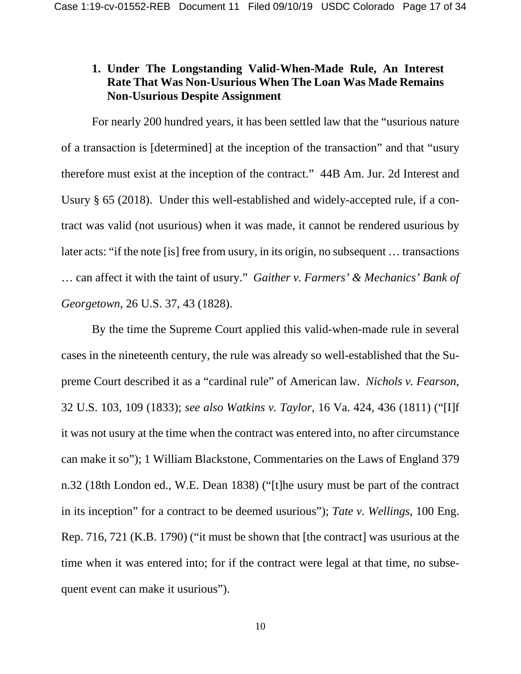#### **1. Under The Longstanding Valid-When-Made Rule, An Interest Rate That Was Non-Usurious When The Loan Was Made Remains Non-Usurious Despite Assignment**

For nearly 200 hundred years, it has been settled law that the "usurious nature of a transaction is [determined] at the inception of the transaction" and that "usury therefore must exist at the inception of the contract." 44B Am. Jur. 2d Interest and Usury § 65 (2018). Under this well-established and widely-accepted rule, if a contract was valid (not usurious) when it was made, it cannot be rendered usurious by later acts: "if the note [is] free from usury, in its origin, no subsequent … transactions … can affect it with the taint of usury." *Gaither v. Farmers' & Mechanics' Bank of Georgetown*, 26 U.S. 37, 43 (1828).

By the time the Supreme Court applied this valid-when-made rule in several cases in the nineteenth century, the rule was already so well-established that the Supreme Court described it as a "cardinal rule" of American law. *Nichols v. Fearson*, 32 U.S. 103, 109 (1833); *see also Watkins v. Taylor*, 16 Va. 424, 436 (1811) ("[I]f it was not usury at the time when the contract was entered into, no after circumstance can make it so"); 1 William Blackstone, Commentaries on the Laws of England 379 n.32 (18th London ed., W.E. Dean 1838) ("[t]he usury must be part of the contract in its inception" for a contract to be deemed usurious"); *Tate v. Wellings*, 100 Eng. Rep. 716, 721 (K.B. 1790) ("it must be shown that [the contract] was usurious at the time when it was entered into; for if the contract were legal at that time, no subsequent event can make it usurious").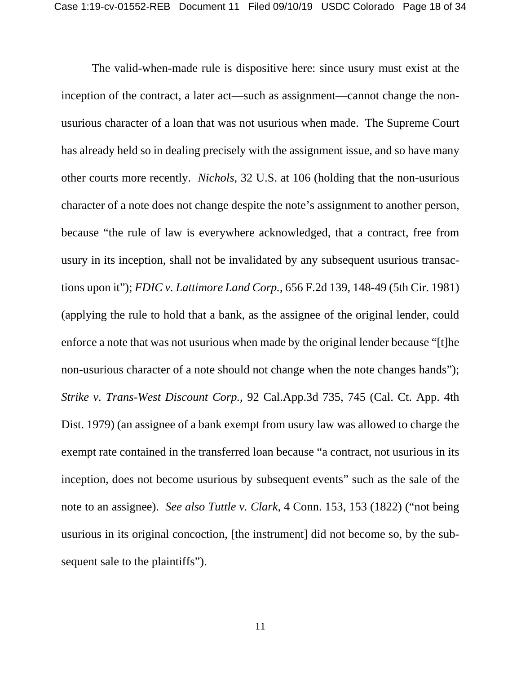The valid-when-made rule is dispositive here: since usury must exist at the inception of the contract, a later act—such as assignment—cannot change the nonusurious character of a loan that was not usurious when made. The Supreme Court has already held so in dealing precisely with the assignment issue, and so have many other courts more recently. *Nichols*, 32 U.S. at 106 (holding that the non-usurious character of a note does not change despite the note's assignment to another person, because "the rule of law is everywhere acknowledged, that a contract, free from usury in its inception, shall not be invalidated by any subsequent usurious transactions upon it"); *FDIC v. Lattimore Land Corp.*, 656 F.2d 139, 148-49 (5th Cir. 1981) (applying the rule to hold that a bank, as the assignee of the original lender, could enforce a note that was not usurious when made by the original lender because "[t]he non-usurious character of a note should not change when the note changes hands"); *Strike v. Trans-West Discount Corp.*, 92 Cal.App.3d 735, 745 (Cal. Ct. App. 4th Dist. 1979) (an assignee of a bank exempt from usury law was allowed to charge the exempt rate contained in the transferred loan because "a contract, not usurious in its inception, does not become usurious by subsequent events" such as the sale of the note to an assignee). *See also Tuttle v. Clark*, 4 Conn. 153, 153 (1822) ("not being usurious in its original concoction, [the instrument] did not become so, by the subsequent sale to the plaintiffs").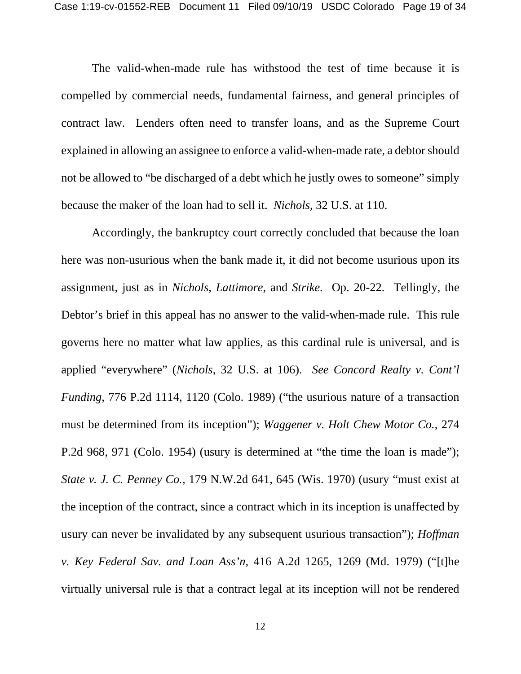The valid-when-made rule has withstood the test of time because it is compelled by commercial needs, fundamental fairness, and general principles of contract law. Lenders often need to transfer loans, and as the Supreme Court explained in allowing an assignee to enforce a valid-when-made rate, a debtor should not be allowed to "be discharged of a debt which he justly owes to someone" simply because the maker of the loan had to sell it. *Nichols*, 32 U.S. at 110.

Accordingly, the bankruptcy court correctly concluded that because the loan here was non-usurious when the bank made it, it did not become usurious upon its assignment, just as in *Nichols*, *Lattimore*, and *Strike*. Op. 20-22. Tellingly, the Debtor's brief in this appeal has no answer to the valid-when-made rule. This rule governs here no matter what law applies, as this cardinal rule is universal, and is applied "everywhere" (*Nichols*, 32 U.S. at 106). *See Concord Realty v. Cont'l Funding*, 776 P.2d 1114, 1120 (Colo. 1989) ("the usurious nature of a transaction must be determined from its inception"); *Waggener v. Holt Chew Motor Co.*, 274 P.2d 968, 971 (Colo. 1954) (usury is determined at "the time the loan is made"); *State v. J. C. Penney Co.*, 179 N.W.2d 641, 645 (Wis. 1970) (usury "must exist at the inception of the contract, since a contract which in its inception is unaffected by usury can never be invalidated by any subsequent usurious transaction"); *Hoffman v. Key Federal Sav. and Loan Ass'n*, 416 A.2d 1265, 1269 (Md. 1979) ("[t]he virtually universal rule is that a contract legal at its inception will not be rendered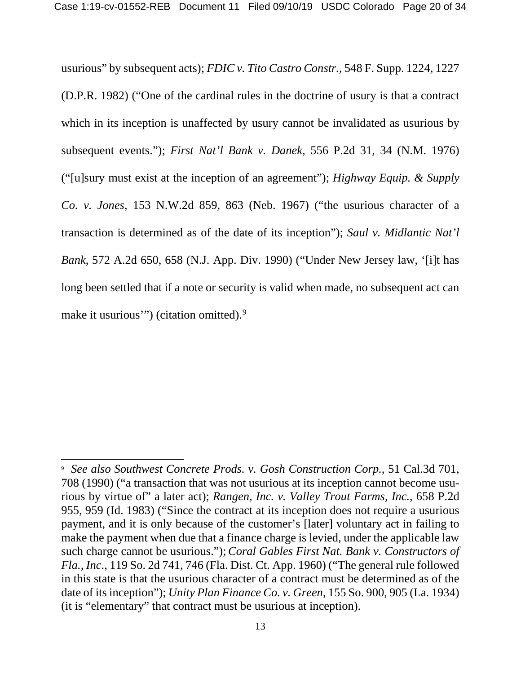usurious" by subsequent acts); *FDIC v. Tito Castro Constr.*, 548 F. Supp. 1224, 1227 (D.P.R. 1982) ("One of the cardinal rules in the doctrine of usury is that a contract which in its inception is unaffected by usury cannot be invalidated as usurious by subsequent events."); *First Nat'l Bank v. Danek*, 556 P.2d 31, 34 (N.M. 1976) ("[u]sury must exist at the inception of an agreement"); *Highway Equip. & Supply Co. v. Jones*, 153 N.W.2d 859, 863 (Neb. 1967) ("the usurious character of a transaction is determined as of the date of its inception"); *Saul v. Midlantic Nat'l Bank*, 572 A.2d 650, 658 (N.J. App. Div. 1990) ("Under New Jersey law, '[i]t has long been settled that if a note or security is valid when made, no subsequent act can make it usurious") (citation omitted).<sup>[9](#page-19-0)</sup>

<span id="page-19-0"></span><sup>9</sup> *See also Southwest Concrete Prods. v. Gosh Construction Corp.*, 51 Cal.3d 701, 708 (1990) ("a transaction that was not usurious at its inception cannot become usurious by virtue of" a later act); *Rangen, Inc. v. Valley Trout Farms, Inc.*, 658 P.2d 955, 959 (Id. 1983) ("Since the contract at its inception does not require a usurious payment, and it is only because of the customer's [later] voluntary act in failing to make the payment when due that a finance charge is levied, under the applicable law such charge cannot be usurious."); *Coral Gables First Nat. Bank v. Constructors of Fla., Inc*., 119 So. 2d 741, 746 (Fla. Dist. Ct. App. 1960) ("The general rule followed in this state is that the usurious character of a contract must be determined as of the date of its inception"); *Unity Plan Finance Co. v. Green*, 155 So. 900, 905 (La. 1934) (it is "elementary" that contract must be usurious at inception).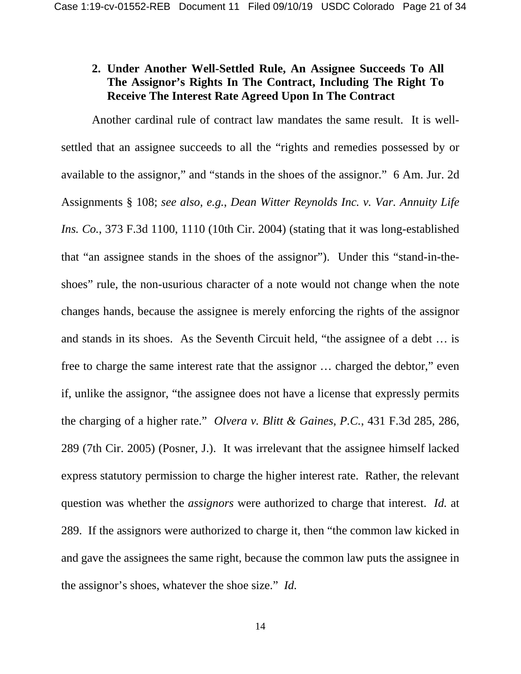### **2. Under Another Well-Settled Rule, An Assignee Succeeds To All The Assignor's Rights In The Contract, Including The Right To Receive The Interest Rate Agreed Upon In The Contract**

Another cardinal rule of contract law mandates the same result. It is wellsettled that an assignee succeeds to all the "rights and remedies possessed by or available to the assignor," and "stands in the shoes of the assignor." 6 Am. Jur. 2d Assignments § 108; *see also, e.g.*, *Dean Witter Reynolds Inc. v. Var. Annuity Life Ins. Co.*, 373 F.3d 1100, 1110 (10th Cir. 2004) (stating that it was long-established that "an assignee stands in the shoes of the assignor"). Under this "stand-in-theshoes" rule, the non-usurious character of a note would not change when the note changes hands, because the assignee is merely enforcing the rights of the assignor and stands in its shoes. As the Seventh Circuit held, "the assignee of a debt … is free to charge the same interest rate that the assignor … charged the debtor," even if, unlike the assignor, "the assignee does not have a license that expressly permits the charging of a higher rate." *Olvera v. Blitt & Gaines, P.C.*, 431 F.3d 285, 286, 289 (7th Cir. 2005) (Posner, J.). It was irrelevant that the assignee himself lacked express statutory permission to charge the higher interest rate. Rather, the relevant question was whether the *assignors* were authorized to charge that interest. *Id.* at 289. If the assignors were authorized to charge it, then "the common law kicked in and gave the assignees the same right, because the common law puts the assignee in the assignor's shoes, whatever the shoe size." *Id.*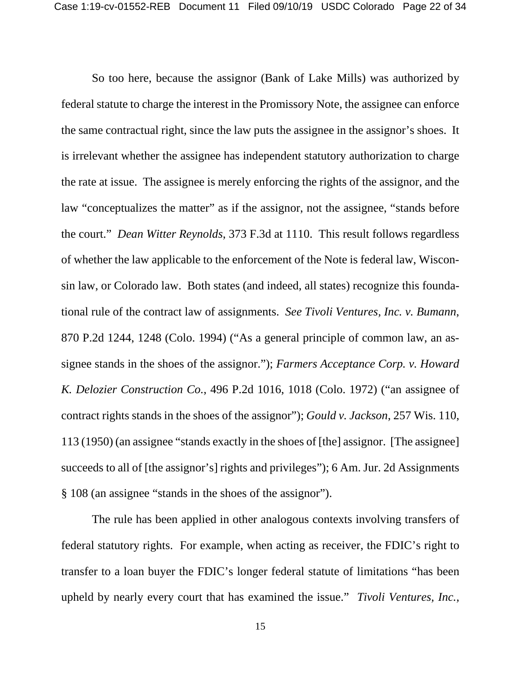So too here, because the assignor (Bank of Lake Mills) was authorized by federal statute to charge the interest in the Promissory Note, the assignee can enforce the same contractual right, since the law puts the assignee in the assignor's shoes. It is irrelevant whether the assignee has independent statutory authorization to charge the rate at issue. The assignee is merely enforcing the rights of the assignor, and the law "conceptualizes the matter" as if the assignor, not the assignee, "stands before the court." *Dean Witter Reynolds*, 373 F.3d at 1110. This result follows regardless of whether the law applicable to the enforcement of the Note is federal law, Wisconsin law, or Colorado law. Both states (and indeed, all states) recognize this foundational rule of the contract law of assignments. *See Tivoli Ventures, Inc. v. Bumann*, 870 P.2d 1244, 1248 (Colo. 1994) ("As a general principle of common law, an assignee stands in the shoes of the assignor."); *Farmers Acceptance Corp. v. Howard K. Delozier Construction Co.*, 496 P.2d 1016, 1018 (Colo. 1972) ("an assignee of contract rights stands in the shoes of the assignor"); *Gould v. Jackson*, 257 Wis. 110, 113 (1950) (an assignee "stands exactly in the shoes of [the] assignor. [The assignee] succeeds to all of [the assignor's] rights and privileges"); 6 Am. Jur. 2d Assignments § 108 (an assignee "stands in the shoes of the assignor").

The rule has been applied in other analogous contexts involving transfers of federal statutory rights. For example, when acting as receiver, the FDIC's right to transfer to a loan buyer the FDIC's longer federal statute of limitations "has been upheld by nearly every court that has examined the issue." *Tivoli Ventures, Inc.,*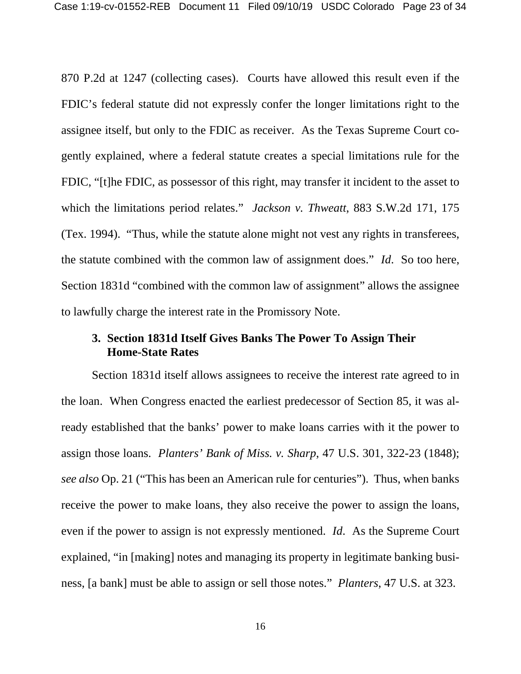870 P.2d at 1247 (collecting cases). Courts have allowed this result even if the FDIC's federal statute did not expressly confer the longer limitations right to the assignee itself, but only to the FDIC as receiver. As the Texas Supreme Court cogently explained, where a federal statute creates a special limitations rule for the FDIC, "[t]he FDIC, as possessor of this right, may transfer it incident to the asset to which the limitations period relates." *Jackson v. Thweatt*, 883 S.W.2d 171, 175 (Tex. 1994). "Thus, while the statute alone might not vest any rights in transferees, the statute combined with the common law of assignment does." *Id*. So too here, Section 1831d "combined with the common law of assignment" allows the assignee to lawfully charge the interest rate in the Promissory Note.

#### **3. Section 1831d Itself Gives Banks The Power To Assign Their Home-State Rates**

Section 1831d itself allows assignees to receive the interest rate agreed to in the loan. When Congress enacted the earliest predecessor of Section 85, it was already established that the banks' power to make loans carries with it the power to assign those loans. *Planters' Bank of Miss. v. Sharp*, 47 U.S. 301, 322-23 (1848); *see also* Op. 21 ("This has been an American rule for centuries"). Thus, when banks receive the power to make loans, they also receive the power to assign the loans, even if the power to assign is not expressly mentioned. *Id*. As the Supreme Court explained, "in [making] notes and managing its property in legitimate banking business, [a bank] must be able to assign or sell those notes." *Planters*, 47 U.S. at 323.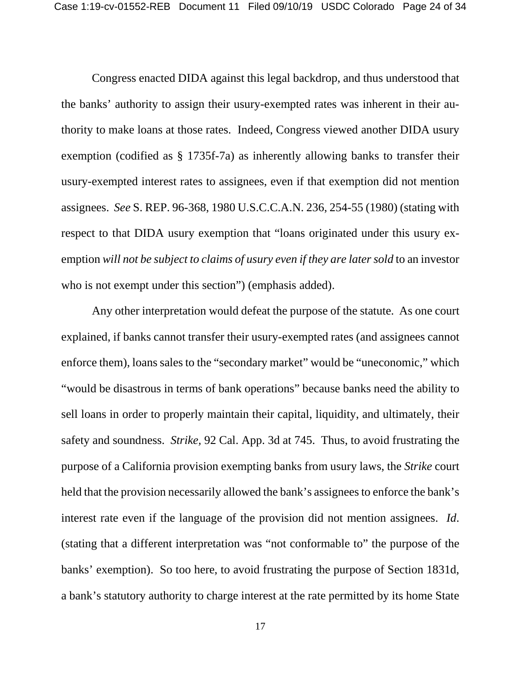Congress enacted DIDA against this legal backdrop, and thus understood that the banks' authority to assign their usury-exempted rates was inherent in their authority to make loans at those rates. Indeed, Congress viewed another DIDA usury exemption (codified as § 1735f-7a) as inherently allowing banks to transfer their usury-exempted interest rates to assignees, even if that exemption did not mention assignees. *See* S. REP. 96-368, 1980 U.S.C.C.A.N. 236, 254-55 (1980) (stating with respect to that DIDA usury exemption that "loans originated under this usury exemption *will not be subject to claims of usury even if they are later sold* to an investor who is not exempt under this section") (emphasis added).

Any other interpretation would defeat the purpose of the statute. As one court explained, if banks cannot transfer their usury-exempted rates (and assignees cannot enforce them), loans sales to the "secondary market" would be "uneconomic," which "would be disastrous in terms of bank operations" because banks need the ability to sell loans in order to properly maintain their capital, liquidity, and ultimately, their safety and soundness. *Strike,* 92 Cal. App. 3d at 745. Thus, to avoid frustrating the purpose of a California provision exempting banks from usury laws, the *Strike* court held that the provision necessarily allowed the bank's assignees to enforce the bank's interest rate even if the language of the provision did not mention assignees. *Id*. (stating that a different interpretation was "not conformable to" the purpose of the banks' exemption). So too here, to avoid frustrating the purpose of Section 1831d, a bank's statutory authority to charge interest at the rate permitted by its home State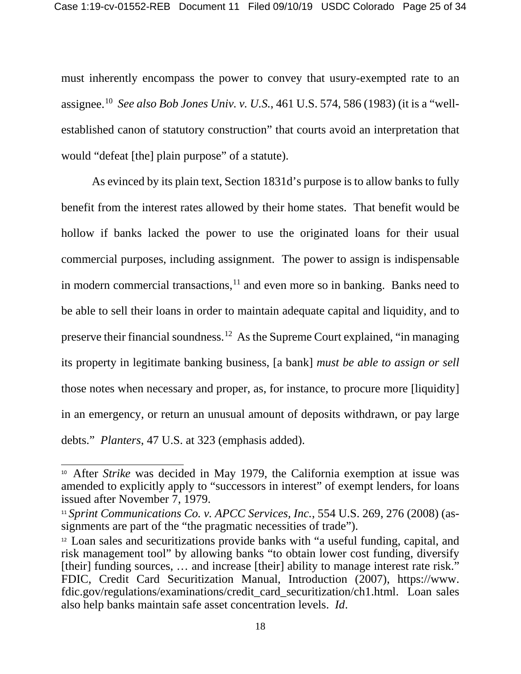must inherently encompass the power to convey that usury-exempted rate to an assignee. [10](#page-24-0) *See also Bob Jones Univ. v. U.S.*, 461 U.S. 574, 586 (1983) (it is a "wellestablished canon of statutory construction" that courts avoid an interpretation that would "defeat [the] plain purpose" of a statute).

As evinced by its plain text, Section 1831d's purpose is to allow banks to fully benefit from the interest rates allowed by their home states. That benefit would be hollow if banks lacked the power to use the originated loans for their usual commercial purposes, including assignment. The power to assign is indispensable in modern commercial transactions, $<sup>11</sup>$  $<sup>11</sup>$  $<sup>11</sup>$  and even more so in banking. Banks need to</sup> be able to sell their loans in order to maintain adequate capital and liquidity, and to preserve their financial soundness.[12](#page-24-2) As the Supreme Court explained, "in managing its property in legitimate banking business, [a bank] *must be able to assign or sell* those notes when necessary and proper, as, for instance, to procure more [liquidity] in an emergency, or return an unusual amount of deposits withdrawn, or pay large debts." *Planters*, 47 U.S. at 323 (emphasis added).

<span id="page-24-0"></span><sup>10</sup> After *Strike* was decided in May 1979, the California exemption at issue was amended to explicitly apply to "successors in interest" of exempt lenders, for loans issued after November 7, 1979.

<span id="page-24-1"></span><sup>&</sup>lt;sup>11</sup> Sprint Communications Co. v. APCC Services, Inc., 554 U.S. 269, 276 (2008) (assignments are part of the "the pragmatic necessities of trade").

<span id="page-24-2"></span><sup>12</sup> Loan sales and securitizations provide banks with "a useful funding, capital, and risk management tool" by allowing banks "to obtain lower cost funding, diversify [their] funding sources, … and increase [their] ability to manage interest rate risk." FDIC, Credit Card Securitization Manual, Introduction (2007), https://www. fdic.gov/regulations/examinations/credit\_card\_securitization/ch1.html. Loan sales also help banks maintain safe asset concentration levels. *Id*.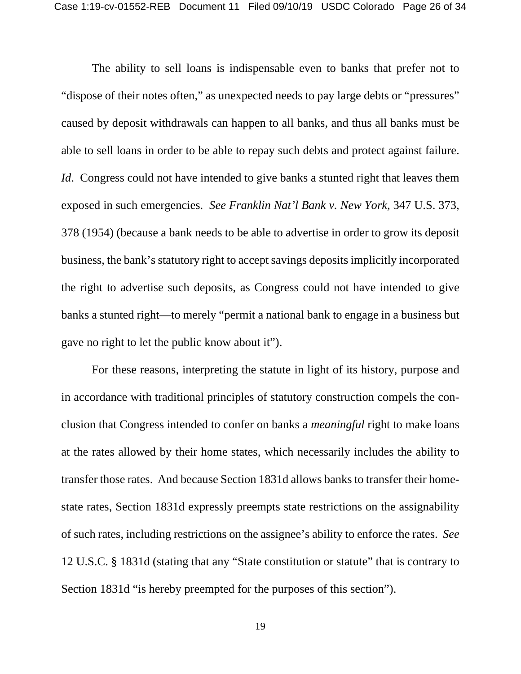The ability to sell loans is indispensable even to banks that prefer not to "dispose of their notes often," as unexpected needs to pay large debts or "pressures" caused by deposit withdrawals can happen to all banks, and thus all banks must be able to sell loans in order to be able to repay such debts and protect against failure. *Id.* Congress could not have intended to give banks a stunted right that leaves them exposed in such emergencies. *See Franklin Nat'l Bank v. New York*, 347 U.S. 373, 378 (1954) (because a bank needs to be able to advertise in order to grow its deposit business, the bank's statutory right to accept savings deposits implicitly incorporated the right to advertise such deposits, as Congress could not have intended to give banks a stunted right—to merely "permit a national bank to engage in a business but gave no right to let the public know about it").

For these reasons, interpreting the statute in light of its history, purpose and in accordance with traditional principles of statutory construction compels the conclusion that Congress intended to confer on banks a *meaningful* right to make loans at the rates allowed by their home states, which necessarily includes the ability to transfer those rates. And because Section 1831d allows banks to transfer their homestate rates, Section 1831d expressly preempts state restrictions on the assignability of such rates, including restrictions on the assignee's ability to enforce the rates. *See* 12 U.S.C. § 1831d (stating that any "State constitution or statute" that is contrary to Section 1831d "is hereby preempted for the purposes of this section").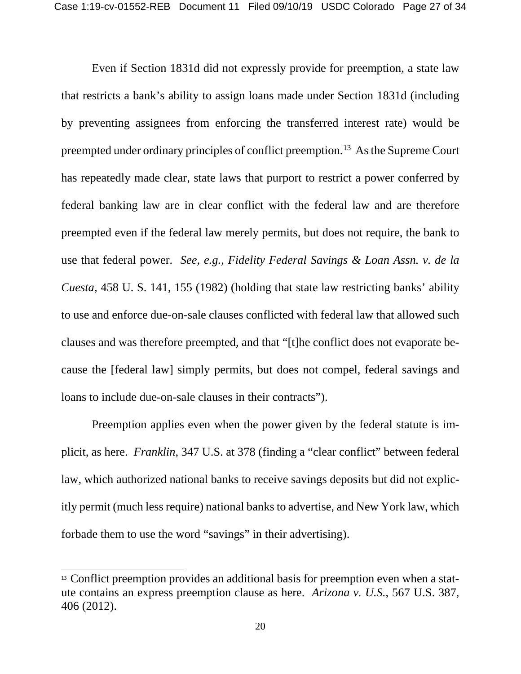Even if Section 1831d did not expressly provide for preemption, a state law that restricts a bank's ability to assign loans made under Section 1831d (including by preventing assignees from enforcing the transferred interest rate) would be preempted under ordinary principles of conflict preemption. [13](#page-26-0) As the Supreme Court has repeatedly made clear, state laws that purport to restrict a power conferred by federal banking law are in clear conflict with the federal law and are therefore preempted even if the federal law merely permits, but does not require, the bank to use that federal power. *See, e.g., Fidelity Federal Savings & Loan Assn. v. de la Cuesta*, 458 U. S. 141, 155 (1982) (holding that state law restricting banks' ability to use and enforce due-on-sale clauses conflicted with federal law that allowed such clauses and was therefore preempted, and that "[t]he conflict does not evaporate because the [federal law] simply permits, but does not compel, federal savings and loans to include due-on-sale clauses in their contracts").

Preemption applies even when the power given by the federal statute is implicit, as here. *Franklin*, 347 U.S. at 378 (finding a "clear conflict" between federal law, which authorized national banks to receive savings deposits but did not explicitly permit (much less require) national banks to advertise, and New York law, which forbade them to use the word "savings" in their advertising).

<span id="page-26-0"></span><sup>&</sup>lt;sup>13</sup> Conflict preemption provides an additional basis for preemption even when a statute contains an express preemption clause as here. *Arizona v. U.S.*, 567 U.S. 387, 406 (2012).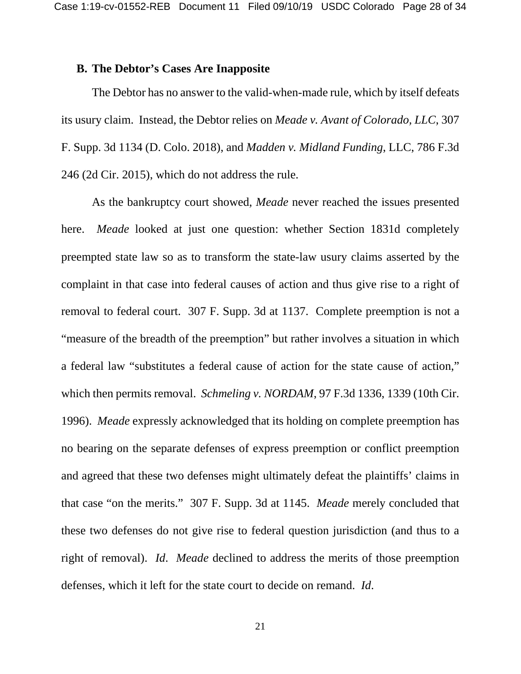#### **B. The Debtor's Cases Are Inapposite**

The Debtor has no answer to the valid-when-made rule, which by itself defeats its usury claim. Instead, the Debtor relies on *Meade v. Avant of Colorado, LLC*, 307 F. Supp. 3d 1134 (D. Colo. 2018), and *Madden v. Midland Funding*, LLC, 786 F.3d 246 (2d Cir. 2015), which do not address the rule.

As the bankruptcy court showed, *Meade* never reached the issues presented here. *Meade* looked at just one question: whether Section 1831d completely preempted state law so as to transform the state-law usury claims asserted by the complaint in that case into federal causes of action and thus give rise to a right of removal to federal court. 307 F. Supp. 3d at 1137. Complete preemption is not a "measure of the breadth of the preemption" but rather involves a situation in which a federal law "substitutes a federal cause of action for the state cause of action," which then permits removal. *Schmeling v. NORDAM*, 97 F.3d 1336, 1339 (10th Cir. 1996). *Meade* expressly acknowledged that its holding on complete preemption has no bearing on the separate defenses of express preemption or conflict preemption and agreed that these two defenses might ultimately defeat the plaintiffs' claims in that case "on the merits." 307 F. Supp. 3d at 1145. *Meade* merely concluded that these two defenses do not give rise to federal question jurisdiction (and thus to a right of removal). *Id*. *Meade* declined to address the merits of those preemption defenses, which it left for the state court to decide on remand. *Id*.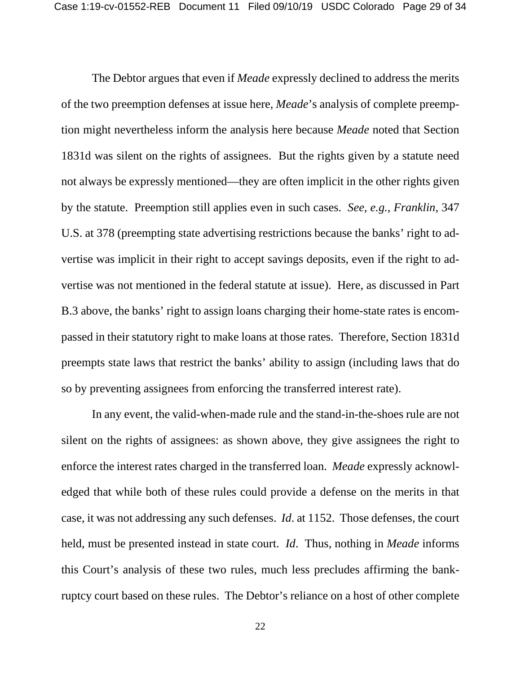The Debtor argues that even if *Meade* expressly declined to address the merits of the two preemption defenses at issue here, *Meade*'s analysis of complete preemption might nevertheless inform the analysis here because *Meade* noted that Section 1831d was silent on the rights of assignees. But the rights given by a statute need not always be expressly mentioned—they are often implicit in the other rights given by the statute. Preemption still applies even in such cases. *See, e.g.*, *Franklin*, 347 U.S. at 378 (preempting state advertising restrictions because the banks' right to advertise was implicit in their right to accept savings deposits, even if the right to advertise was not mentioned in the federal statute at issue). Here, as discussed in Part B.3 above, the banks' right to assign loans charging their home-state rates is encompassed in their statutory right to make loans at those rates. Therefore, Section 1831d preempts state laws that restrict the banks' ability to assign (including laws that do so by preventing assignees from enforcing the transferred interest rate).

In any event, the valid-when-made rule and the stand-in-the-shoes rule are not silent on the rights of assignees: as shown above, they give assignees the right to enforce the interest rates charged in the transferred loan. *Meade* expressly acknowledged that while both of these rules could provide a defense on the merits in that case, it was not addressing any such defenses. *Id*. at 1152. Those defenses, the court held, must be presented instead in state court. *Id*. Thus, nothing in *Meade* informs this Court's analysis of these two rules, much less precludes affirming the bankruptcy court based on these rules. The Debtor's reliance on a host of other complete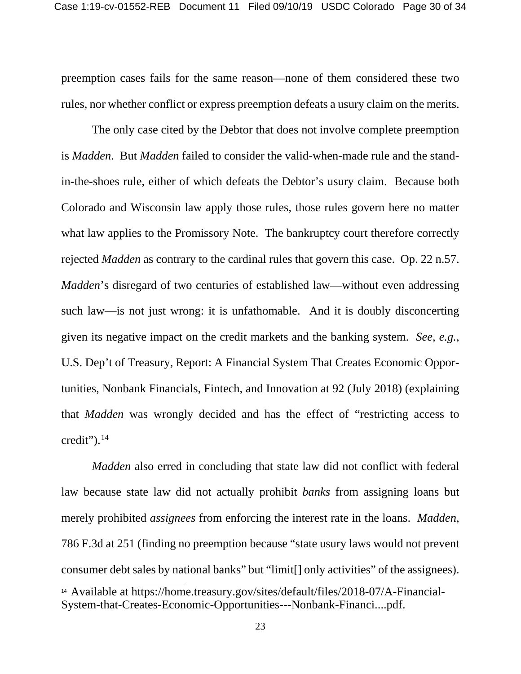preemption cases fails for the same reason—none of them considered these two rules, nor whether conflict or express preemption defeats a usury claim on the merits.

The only case cited by the Debtor that does not involve complete preemption is *Madden*. But *Madden* failed to consider the valid-when-made rule and the standin-the-shoes rule, either of which defeats the Debtor's usury claim. Because both Colorado and Wisconsin law apply those rules, those rules govern here no matter what law applies to the Promissory Note. The bankruptcy court therefore correctly rejected *Madden* as contrary to the cardinal rules that govern this case. Op. 22 n.57. *Madden*'s disregard of two centuries of established law—without even addressing such law—is not just wrong: it is unfathomable. And it is doubly disconcerting given its negative impact on the credit markets and the banking system. *See, e.g.*, U.S. Dep't of Treasury, Report: A Financial System That Creates Economic Opportunities, Nonbank Financials, Fintech, and Innovation at 92 (July 2018) (explaining that *Madden* was wrongly decided and has the effect of "restricting access to credit"). $^{14}$  $^{14}$  $^{14}$ 

*Madden* also erred in concluding that state law did not conflict with federal law because state law did not actually prohibit *banks* from assigning loans but merely prohibited *assignees* from enforcing the interest rate in the loans. *Madden*, 786 F.3d at 251 (finding no preemption because "state usury laws would not prevent consumer debt sales by national banks" but "limit[] only activities" of the assignees).

<span id="page-29-0"></span><sup>14</sup> Available at https://home.treasury.gov/sites/default/files/2018-07/A-Financial-System-that-Creates-Economic-Opportunities---Nonbank-Financi....pdf.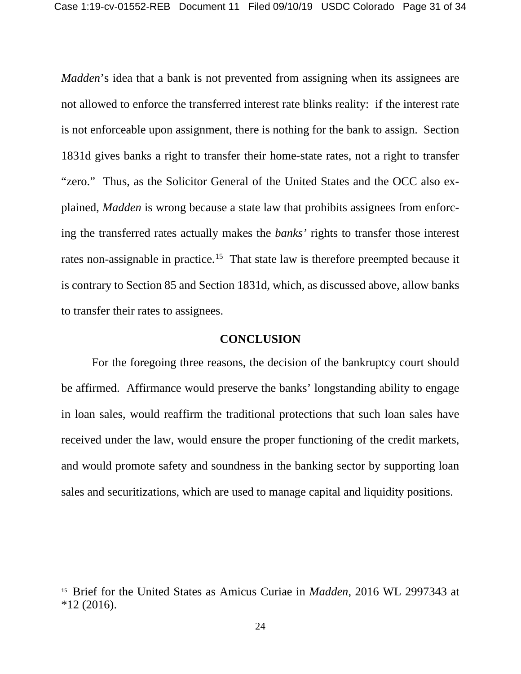*Madden*'s idea that a bank is not prevented from assigning when its assignees are not allowed to enforce the transferred interest rate blinks reality: if the interest rate is not enforceable upon assignment, there is nothing for the bank to assign. Section 1831d gives banks a right to transfer their home-state rates, not a right to transfer "zero." Thus, as the Solicitor General of the United States and the OCC also explained, *Madden* is wrong because a state law that prohibits assignees from enforcing the transferred rates actually makes the *banks'* rights to transfer those interest rates non-assignable in practice.<sup>[15](#page-30-0)</sup> That state law is therefore preempted because it is contrary to Section 85 and Section 1831d, which, as discussed above, allow banks to transfer their rates to assignees.

#### **CONCLUSION**

For the foregoing three reasons, the decision of the bankruptcy court should be affirmed. Affirmance would preserve the banks' longstanding ability to engage in loan sales, would reaffirm the traditional protections that such loan sales have received under the law, would ensure the proper functioning of the credit markets, and would promote safety and soundness in the banking sector by supporting loan sales and securitizations, which are used to manage capital and liquidity positions.

<span id="page-30-0"></span><sup>15</sup> Brief for the United States as Amicus Curiae in *Madden*, 2016 WL 2997343 at  $*12(2016).$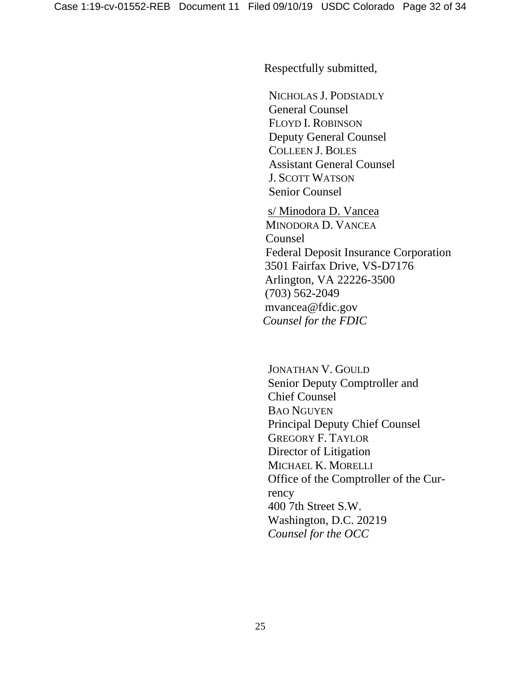Respectfully submitted,

NICHOLAS J. PODSIADLY General Counsel FLOYD I. ROBINSON Deputy General Counsel COLLEEN J. BOLES Assistant General Counsel J. SCOTT WATSON Senior Counsel

s/ Minodora D. Vancea MINODORA D. VANCEA Counsel Federal Deposit Insurance Corporation 3501 Fairfax Drive, VS-D7176 Arlington, VA 22226-3500 (703) 562-2049 mvancea@fdic.gov  *Counsel for the FDIC*

JONATHAN V. GOULD Senior Deputy Comptroller and Chief Counsel BAO NGUYEN Principal Deputy Chief Counsel GREGORY F. TAYLOR Director of Litigation MICHAEL K. MORELLI Office of the Comptroller of the Currency 400 7th Street S.W. Washington, D.C. 20219 *Counsel for the OCC*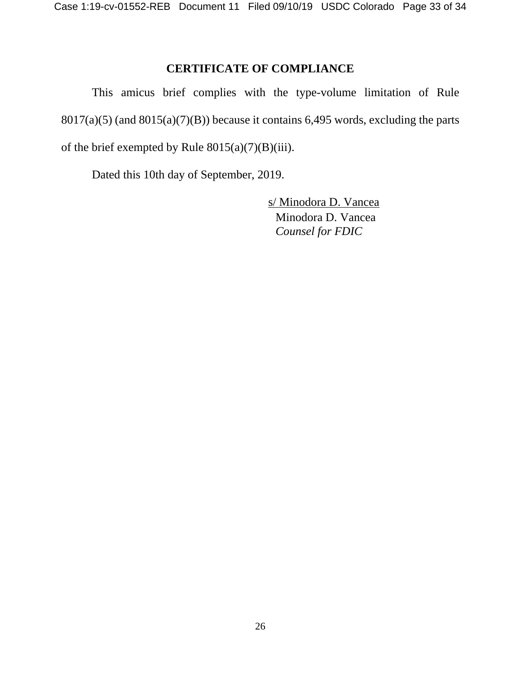## **CERTIFICATE OF COMPLIANCE**

This amicus brief complies with the type-volume limitation of Rule  $8017(a)(5)$  (and  $8015(a)(7)(B)$ ) because it contains 6,495 words, excluding the parts of the brief exempted by Rule  $8015(a)(7)(B)(iii)$ .

Dated this 10th day of September, 2019.

s/ Minodora D. Vancea Minodora D. Vancea *Counsel for FDIC*